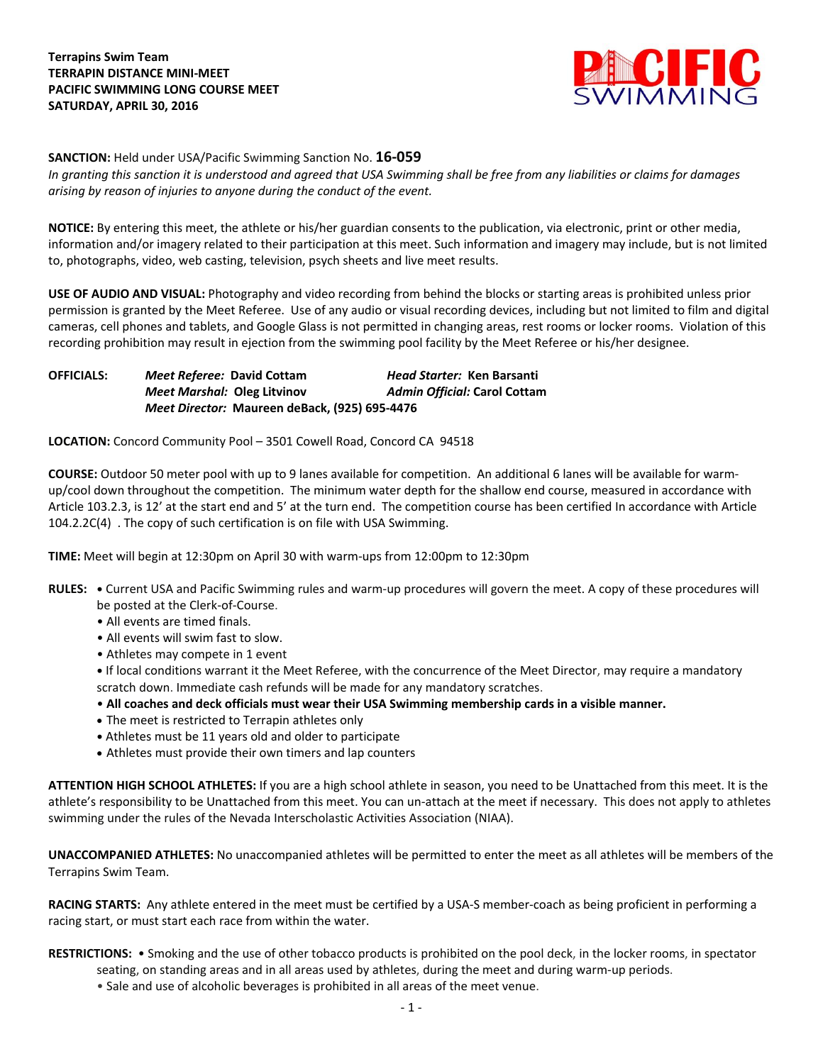

**SANCTION:** Held under USA/Pacific Swimming Sanction No. **16-059**

*In granting this sanction it is understood and agreed that USA Swimming shall be free from any liabilities or claims for damages arising by reason of injuries to anyone during the conduct of the event.*

**NOTICE:** By entering this meet, the athlete or his/her guardian consents to the publication, via electronic, print or other media, information and/or imagery related to their participation at this meet. Such information and imagery may include, but is not limited to, photographs, video, web casting, television, psych sheets and live meet results.

**USE OF AUDIO AND VISUAL:** Photography and video recording from behind the blocks or starting areas is prohibited unless prior permission is granted by the Meet Referee. Use of any audio or visual recording devices, including but not limited to film and digital cameras, cell phones and tablets, and Google Glass is not permitted in changing areas, rest rooms or locker rooms. Violation of this recording prohibition may result in ejection from the swimming pool facility by the Meet Referee or his/her designee.

**OFFICIALS:** *Meet Referee:* **David Cottam** *Head Starter:* **Ken Barsanti** *Meet Marshal:* **Oleg Litvinov** *Admin Official:* **Carol Cottam** *Meet Director:* **Maureen deBack, (925) 695-4476**

**LOCATION:** Concord Community Pool – 3501 Cowell Road, Concord CA 94518

**COURSE:** Outdoor 50 meter pool with up to 9 lanes available for competition. An additional 6 lanes will be available for warmup/cool down throughout the competition. The minimum water depth for the shallow end course, measured in accordance with Article 103.2.3, is 12' at the start end and 5' at the turn end. The competition course has been certified In accordance with Article 104.2.2C(4) . The copy of such certification is on file with USA Swimming.

**TIME:** Meet will begin at 12:30pm on April 30 with warm-ups from 12:00pm to 12:30pm

- **RULES: •** Current USA and Pacific Swimming rules and warm-up procedures will govern the meet. A copy of these procedures will be posted at the Clerk-of-Course.
	- All events are timed finals.
	- All events will swim fast to slow.
	- Athletes may compete in 1 event
	- **•** If local conditions warrant it the Meet Referee, with the concurrence of the Meet Director, may require a mandatory scratch down. Immediate cash refunds will be made for any mandatory scratches.
	- **All coaches and deck officials must wear their USA Swimming membership cards in a visible manner.**
	- The meet is restricted to Terrapin athletes only
	- **•** Athletes must be 11 years old and older to participate
	- Athletes must provide their own timers and lap counters

**ATTENTION HIGH SCHOOL ATHLETES:** If you are a high school athlete in season, you need to be Unattached from this meet. It is the athlete's responsibility to be Unattached from this meet. You can un-attach at the meet if necessary. This does not apply to athletes swimming under the rules of the Nevada Interscholastic Activities Association (NIAA).

**UNACCOMPANIED ATHLETES:** No unaccompanied athletes will be permitted to enter the meet as all athletes will be members of the Terrapins Swim Team.

**RACING STARTS:** Any athlete entered in the meet must be certified by a USA-S member-coach as being proficient in performing a racing start, or must start each race from within the water.

**RESTRICTIONS:** • Smoking and the use of other tobacco products is prohibited on the pool deck, in the locker rooms, in spectator

- seating, on standing areas and in all areas used by athletes, during the meet and during warm-up periods.
	- Sale and use of alcoholic beverages is prohibited in all areas of the meet venue.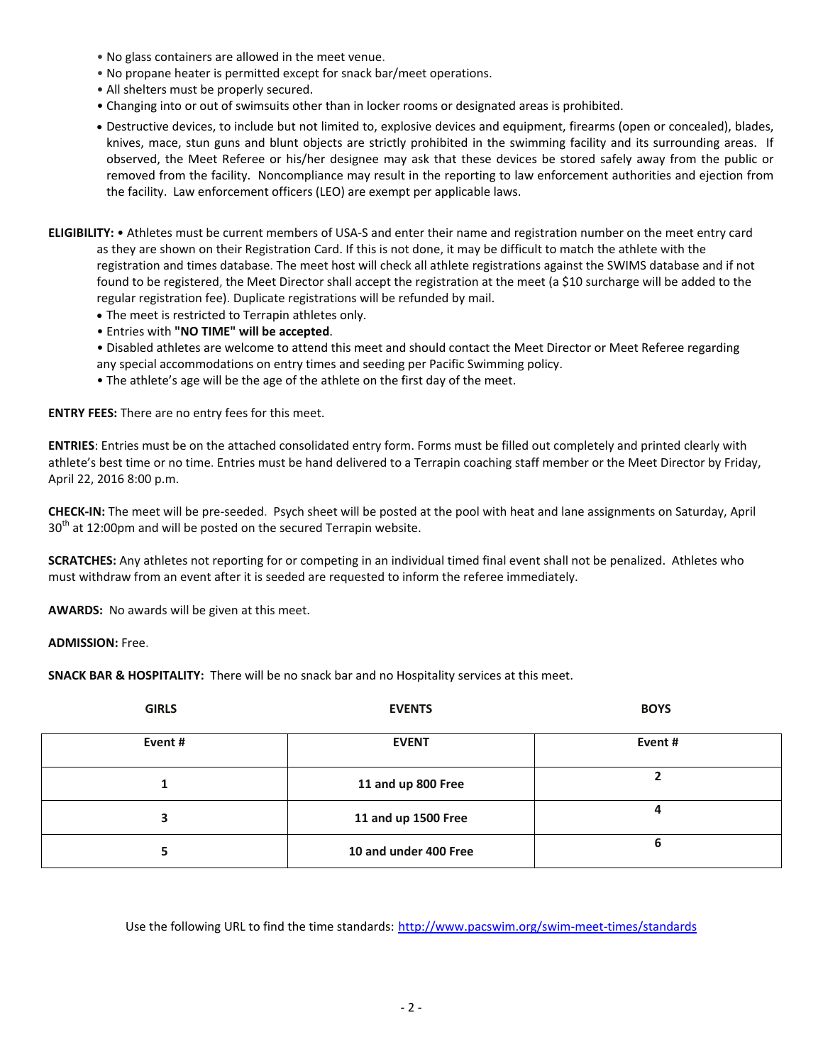- No glass containers are allowed in the meet venue.
- No propane heater is permitted except for snack bar/meet operations.
- All shelters must be properly secured.
- Changing into or out of swimsuits other than in locker rooms or designated areas is prohibited.
- Destructive devices, to include but not limited to, explosive devices and equipment, firearms (open or concealed), blades, knives, mace, stun guns and blunt objects are strictly prohibited in the swimming facility and its surrounding areas. If observed, the Meet Referee or his/her designee may ask that these devices be stored safely away from the public or removed from the facility. Noncompliance may result in the reporting to law enforcement authorities and ejection from the facility. Law enforcement officers (LEO) are exempt per applicable laws.
- **ELIGIBILITY:** Athletes must be current members of USA-S and enter their name and registration number on the meet entry card as they are shown on their Registration Card. If this is not done, it may be difficult to match the athlete with the registration and times database. The meet host will check all athlete registrations against the SWIMS database and if not found to be registered, the Meet Director shall accept the registration at the meet (a \$10 surcharge will be added to the regular registration fee). Duplicate registrations will be refunded by mail.
	- The meet is restricted to Terrapin athletes only.
	- Entries with **"NO TIME" will be accepted**.
	- Disabled athletes are welcome to attend this meet and should contact the Meet Director or Meet Referee regarding any special accommodations on entry times and seeding per Pacific Swimming policy.
	- The athlete's age will be the age of the athlete on the first day of the meet.

**ENTRY FEES:** There are no entry fees for this meet.

**ENTRIES**: Entries must be on the attached consolidated entry form. Forms must be filled out completely and printed clearly with athlete's best time or no time. Entries must be hand delivered to a Terrapin coaching staff member or the Meet Director by Friday, April 22, 2016 8:00 p.m.

**CHECK-IN:** The meet will be pre-seeded. Psych sheet will be posted at the pool with heat and lane assignments on Saturday, April  $30<sup>th</sup>$  at 12:00pm and will be posted on the secured Terrapin website.

**SCRATCHES:** Any athletes not reporting for or competing in an individual timed final event shall not be penalized. Athletes who must withdraw from an event after it is seeded are requested to inform the referee immediately.

**AWARDS:** No awards will be given at this meet.

## **ADMISSION:** Free.

**SNACK BAR & HOSPITALITY:** There will be no snack bar and no Hospitality services at this meet.

| <b>GIRLS</b> | <b>EVENTS</b>         | <b>BOYS</b> |  |  |  |
|--------------|-----------------------|-------------|--|--|--|
| Event#       | <b>EVENT</b>          | Event#      |  |  |  |
|              | 11 and up 800 Free    |             |  |  |  |
| 3            | 11 and up 1500 Free   | Δ           |  |  |  |
|              | 10 and under 400 Free | b           |  |  |  |

Use the following URL to find the time standards: <http://www.pacswim.org/swim-meet-times/standards>